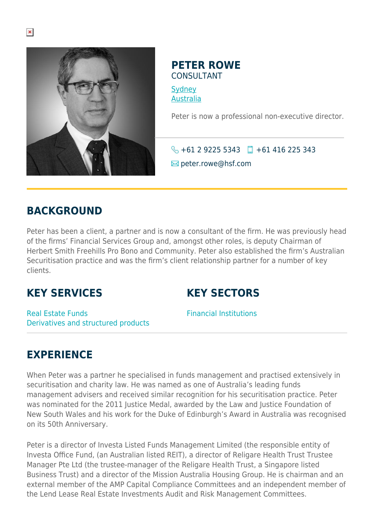

#### **PETER ROWE** CONSULTANT

**[Sydney](https://www.herbertsmithfreehills.com/where-we-work/sydney)** [Australia](https://www.herbertsmithfreehills.com/where-we-work/australia)

Peter is now a professional non-executive director.

 $\bigodot$  +61 2 9225 5343  $\Box$  +61 416 225 343  $\blacksquare$  peter.rowe@hsf.com

#### **BACKGROUND**

Peter has been a client, a partner and is now a consultant of the firm. He was previously head of the firms' Financial Services Group and, amongst other roles, is deputy Chairman of Herbert Smith Freehills Pro Bono and Community. Peter also established the firm's Australian Securitisation practice and was the firm's client relationship partner for a number of key clients.

### **KEY SERVICES**

## **KEY SECTORS**

Real Estate Funds Derivatives and structured products Financial Institutions

# **EXPERIENCE**

When Peter was a partner he specialised in funds management and practised extensively in securitisation and charity law. He was named as one of Australia's leading funds management advisers and received similar recognition for his securitisation practice. Peter was nominated for the 2011 Justice Medal, awarded by the Law and Justice Foundation of New South Wales and his work for the Duke of Edinburgh's Award in Australia was recognised on its 50th Anniversary.

Peter is a director of Investa Listed Funds Management Limited (the responsible entity of Investa Office Fund, (an Australian listed REIT), a director of Religare Health Trust Trustee Manager Pte Ltd (the trustee-manager of the Religare Health Trust, a Singapore listed Business Trust) and a director of the Mission Australia Housing Group. He is chairman and an external member of the AMP Capital Compliance Committees and an independent member of the Lend Lease Real Estate Investments Audit and Risk Management Committees.